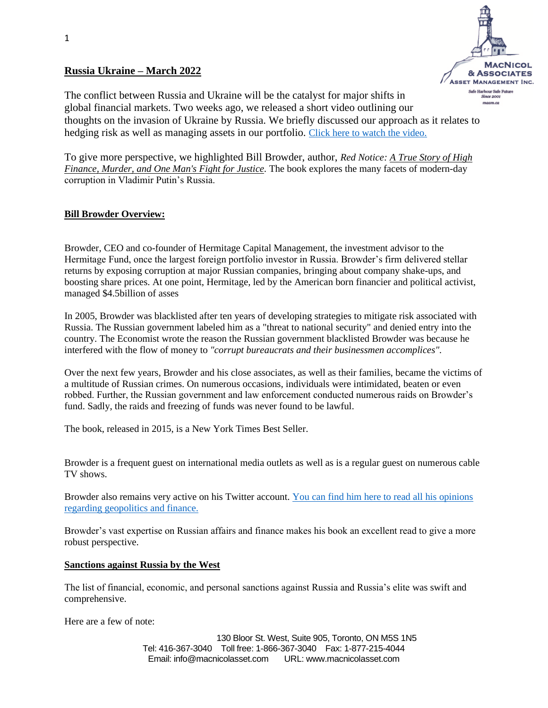# **Russia Ukraine – March 2022**



The conflict between Russia and Ukraine will be the catalyst for major shifts in global financial markets. Two weeks ago, we released a short video outlining our thoughts on the invasion of Ukraine by Russia. We briefly discussed our approach as it relates to hedging risk as well as managing assets in our portfolio. [Click here to watch the video.](https://vimeo.com/682013545/640f0341f6)

To give more perspective, we highlighted Bill Browder, author, *Red Notice: A True Story of High Finance, Murder, and One Man's Fight for Justice.* The book explores the many facets of modern-day corruption in Vladimir Putin's Russia.

# **Bill Browder Overview:**

Browder, CEO and co-founder of Hermitage Capital Management, the investment advisor to the Hermitage Fund, once the largest foreign portfolio investor in Russia. Browder's firm delivered stellar returns by exposing corruption at major Russian companies, bringing about company shake-ups, and boosting share prices. At one point, Hermitage, led by the American born financier and political activist, managed \$4.5billion of asses

In 2005, Browder was blacklisted after ten years of developing strategies to mitigate risk associated with Russia. The Russian government labeled him as a "threat to national security" and denied entry into the country. The Economist wrote the reason the Russian government blacklisted Browder was because he interfered with the flow of money to *"corrupt bureaucrats and their businessmen accomplices".*

Over the next few years, Browder and his close associates, as well as their families, became the victims of a multitude of Russian crimes. On numerous occasions, individuals were intimidated, beaten or even robbed. Further, the Russian government and law enforcement conducted numerous raids on Browder's fund. Sadly, the raids and freezing of funds was never found to be lawful.

The book, released in 2015, is a New York Times Best Seller.

Browder is a frequent guest on international media outlets as well as is a regular guest on numerous cable TV shows.

Browder also remains very active on his Twitter account[. You can find him here to read all his opinions](https://twitter.com/Billbrowder?ref_src=twsrc%5Egoogle%7Ctwcamp%5Eserp%7Ctwgr%5Eauthor)  [regarding geopolitics and finance.](https://twitter.com/Billbrowder?ref_src=twsrc%5Egoogle%7Ctwcamp%5Eserp%7Ctwgr%5Eauthor)

Browder's vast expertise on Russian affairs and finance makes his book an excellent read to give a more robust perspective.

## **Sanctions against Russia by the West**

The list of financial, economic, and personal sanctions against Russia and Russia's elite was swift and comprehensive.

Here are a few of note:

130 Bloor St. West, Suite 905, Toronto, ON M5S 1N5 Tel: 416-367-3040 Toll free: 1-866-367-3040 Fax: 1-877-215-4044 Email: info@macnicolasset.com URL: www.macnicolasset.com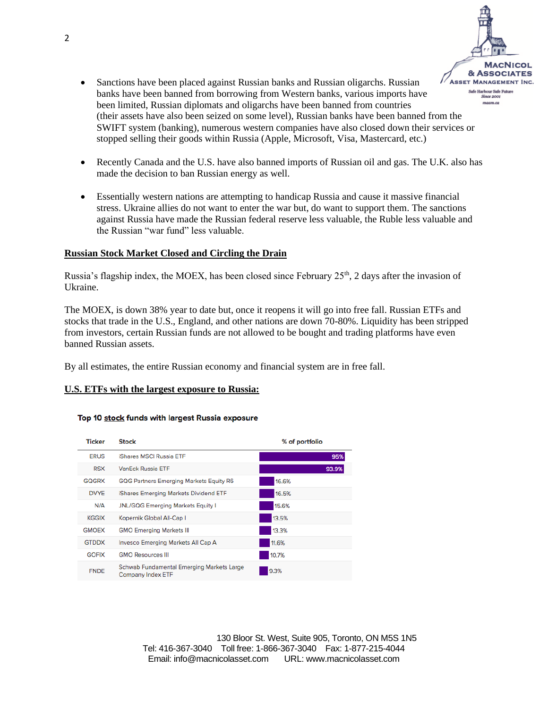

- Sanctions have been placed against Russian banks and Russian oligarchs. Russian banks have been banned from borrowing from Western banks, various imports have been limited, Russian diplomats and oligarchs have been banned from countries (their assets have also been seized on some level), Russian banks have been banned from the SWIFT system (banking), numerous western companies have also closed down their services or stopped selling their goods within Russia (Apple, Microsoft, Visa, Mastercard, etc.)
- Recently Canada and the U.S. have also banned imports of Russian oil and gas. The U.K. also has made the decision to ban Russian energy as well.
- Essentially western nations are attempting to handicap Russia and cause it massive financial stress. Ukraine allies do not want to enter the war but, do want to support them. The sanctions against Russia have made the Russian federal reserve less valuable, the Ruble less valuable and the Russian "war fund" less valuable.

### **Russian Stock Market Closed and Circling the Drain**

Russia's flagship index, the MOEX, has been closed since February  $25<sup>th</sup>$ , 2 days after the invasion of Ukraine.

The MOEX, is down 38% year to date but, once it reopens it will go into free fall. Russian ETFs and stocks that trade in the U.S., England, and other nations are down 70-80%. Liquidity has been stripped from investors, certain Russian funds are not allowed to be bought and trading platforms have even banned Russian assets.

By all estimates, the entire Russian economy and financial system are in free fall.

#### **U.S. ETFs with the largest exposure to Russia:**

#### Top 10 stock funds with largest Russia exposure

| <b>Ticker</b> | <b>Stock</b>                                                          | % of portfolio |
|---------------|-----------------------------------------------------------------------|----------------|
| <b>ERUS</b>   | <b>iShares MSCI Russia ETF</b>                                        | 95%            |
| <b>RSX</b>    | <b>VanEck Russia ETE</b>                                              | 93.9%          |
| GOGRX         | <b>GQG Partners Emerging Markets Equity R6</b>                        | 16.6%          |
| <b>DVYE</b>   | iShares Emerging Markets Dividend ETF                                 | 16.5%          |
| N/A           | <b>JNL/GQG Emerging Markets Equity I</b>                              | 15.6%          |
| <b>KGGIX</b>  | Kopernik Global All-Cap I                                             | 13.5%          |
| <b>GMOEX</b>  | <b>GMO Emerging Markets III</b>                                       | 13.3%          |
| <b>GTDDX</b>  | Invesco Emerging Markets All Cap A                                    | 11.6%          |
| <b>GOFIX</b>  | <b>GMO Resources III</b>                                              | 10.7%          |
| <b>FNDE</b>   | Schwab Fundamental Emerging Markets Large<br><b>Company Index ETF</b> | 9.3%           |

130 Bloor St. West, Suite 905, Toronto, ON M5S 1N5 Tel: 416-367-3040 Toll free: 1-866-367-3040 Fax: 1-877-215-4044 Email: info@macnicolasset.com URL: www.macnicolasset.com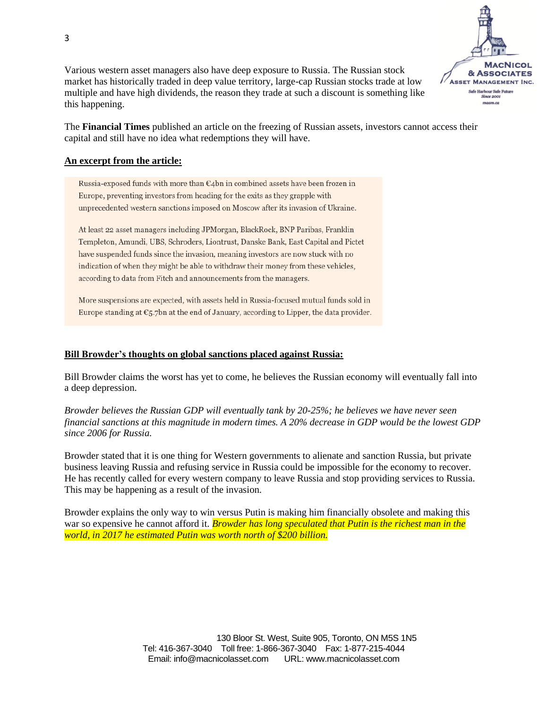

Various western asset managers also have deep exposure to Russia. The Russian stock market has historically traded in deep value territory, large-cap Russian stocks trade at low multiple and have high dividends, the reason they trade at such a discount is something like this happening.

The **Financial Times** published an article on the freezing of Russian assets, investors cannot access their capital and still have no idea what redemptions they will have.

## **An excerpt from the article:**

Russia-exposed funds with more than  $\epsilon_4$ bn in combined assets have been frozen in Europe, preventing investors from heading for the exits as they grapple with unprecedented western sanctions imposed on Moscow after its invasion of Ukraine.

At least 22 asset managers including JPMorgan, BlackRock, BNP Paribas, Franklin Templeton, Amundi, UBS, Schroders, Liontrust, Danske Bank, East Capital and Pictet have suspended funds since the invasion, meaning investors are now stuck with no indication of when they might be able to withdraw their money from these vehicles, according to data from Fitch and announcements from the managers.

More suspensions are expected, with assets held in Russia-focused mutual funds sold in Europe standing at  $\epsilon$ 5.7bn at the end of January, according to Lipper, the data provider.

## **Bill Browder's thoughts on global sanctions placed against Russia:**

Bill Browder claims the worst has yet to come, he believes the Russian economy will eventually fall into a deep depression.

*Browder believes the Russian GDP will eventually tank by 20-25%; he believes we have never seen financial sanctions at this magnitude in modern times. A 20% decrease in GDP would be the lowest GDP since 2006 for Russia.* 

Browder stated that it is one thing for Western governments to alienate and sanction Russia, but private business leaving Russia and refusing service in Russia could be impossible for the economy to recover. He has recently called for every western company to leave Russia and stop providing services to Russia. This may be happening as a result of the invasion.

Browder explains the only way to win versus Putin is making him financially obsolete and making this war so expensive he cannot afford it. *Browder has long speculated that Putin is the richest man in the world, in 2017 he estimated Putin was worth north of \$200 billion.*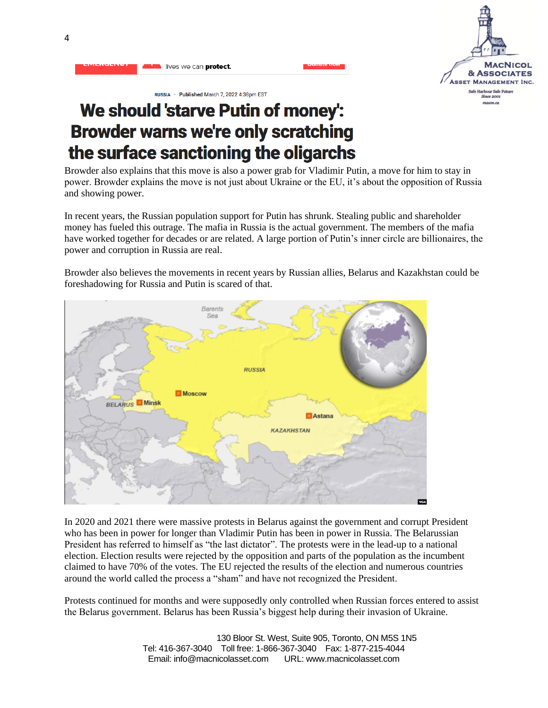

RUSSIA · Published March 7, 2022 4:38pm EST

lives we can protect.

# We should 'starve Putin of money': **Browder warns we're only scratching** the surface sanctioning the oligarchs

Browder also explains that this move is also a power grab for Vladimir Putin, a move for him to stay in power. Browder explains the move is not just about Ukraine or the EU, it's about the opposition of Russia and showing power.

In recent years, the Russian population support for Putin has shrunk. Stealing public and shareholder money has fueled this outrage. The mafia in Russia is the actual government. The members of the mafia have worked together for decades or are related. A large portion of Putin's inner circle are billionaires, the power and corruption in Russia are real.

Browder also believes the movements in recent years by Russian allies, Belarus and Kazakhstan could be foreshadowing for Russia and Putin is scared of that.



In 2020 and 2021 there were massive protests in Belarus against the government and corrupt President who has been in power for longer than Vladimir Putin has been in power in Russia. The Belarussian President has referred to himself as "the last dictator". The protests were in the lead-up to a national election. Election results were rejected by the opposition and parts of the population as the incumbent claimed to have 70% of the votes. The EU rejected the results of the election and numerous countries around the world called the process a "sham" and have not recognized the President.

Protests continued for months and were supposedly only controlled when Russian forces entered to assist the Belarus government. Belarus has been Russia's biggest help during their invasion of Ukraine.

> 130 Bloor St. West, Suite 905, Toronto, ON M5S 1N5 Tel: 416-367-3040 Toll free: 1-866-367-3040 Fax: 1-877-215-4044 Email: info@macnicolasset.com URL: www.macnicolasset.com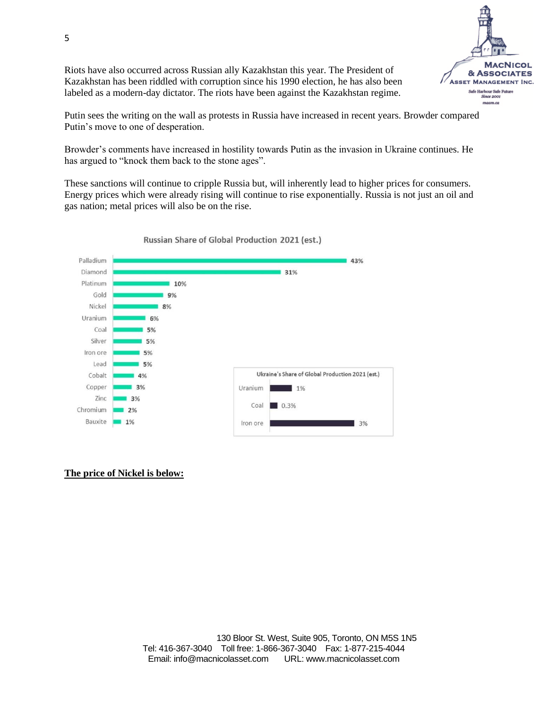Riots have also occurred across Russian ally Kazakhstan this year. The President of Kazakhstan has been riddled with corruption since his 1990 election, he has also been labeled as a modern-day dictator. The riots have been against the Kazakhstan regime.



Putin sees the writing on the wall as protests in Russia have increased in recent years. Browder compared Putin's move to one of desperation.

Browder's comments have increased in hostility towards Putin as the invasion in Ukraine continues. He has argued to "knock them back to the stone ages".

These sanctions will continue to cripple Russia but, will inherently lead to higher prices for consumers. Energy prices which were already rising will continue to rise exponentially. Russia is not just an oil and gas nation; metal prices will also be on the rise.



Russian Share of Global Production 2021 (est.)

#### **The price of Nickel is below:**